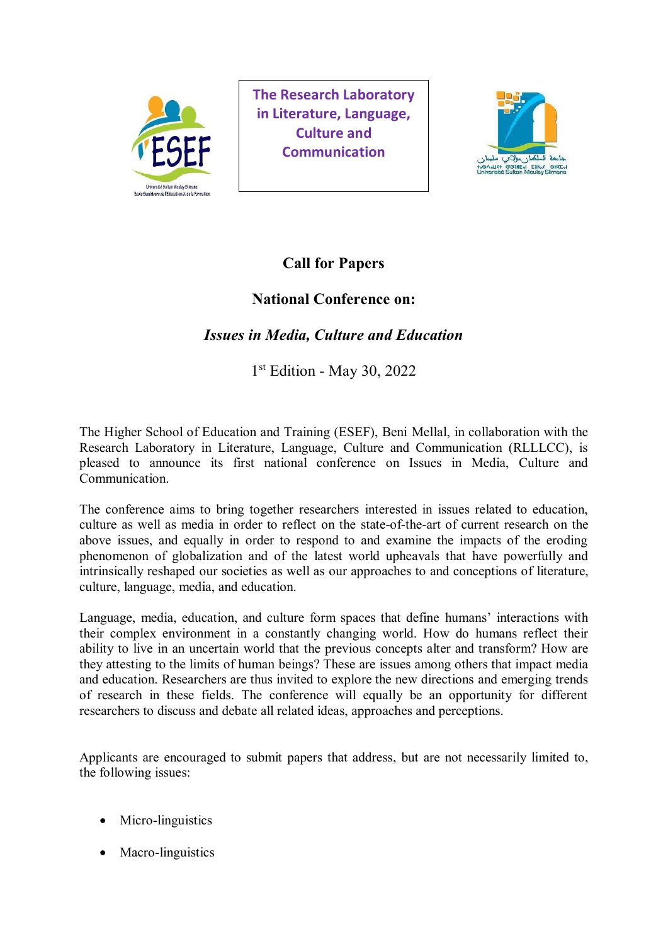

**The Research Laboratory in Literature, Language, Culture and Communication**



# **Call for Papers**

## **National Conference on:**

## *Issues in Media, Culture and Education*

1<sup>st</sup> Edition - May 30, 2022

The Higher School of Education and Training (ESEF), Beni Mellal, in collaboration with the Research Laboratory in Literature, Language, Culture and Communication (RLLLCC), is pleased to announce its first national conference on Issues in Media, Culture and Communication.

The conference aims to bring together researchers interested in issues related to education, culture as well as media in order to reflect on the state-of-the-art of current research on the above issues, and equally in order to respond to and examine the impacts of the eroding phenomenon of globalization and of the latest world upheavals that have powerfully and intrinsically reshaped our societies as well as our approaches to and conceptions of literature, culture, language, media, and education.

Language, media, education, and culture form spaces that define humans' interactions with their complex environment in a constantly changing world. How do humans reflect their ability to live in an uncertain world that the previous concepts alter and transform? How are they attesting to the limits of human beings? These are issues among others that impact media and education. Researchers are thus invited to explore the new directions and emerging trends of research in these fields. The conference will equally be an opportunity for different researchers to discuss and debate all related ideas, approaches and perceptions.

Applicants are encouraged to submit papers that address, but are not necessarily limited to, the following issues:

- Micro-linguistics
- $\bullet$  Macro-linguistics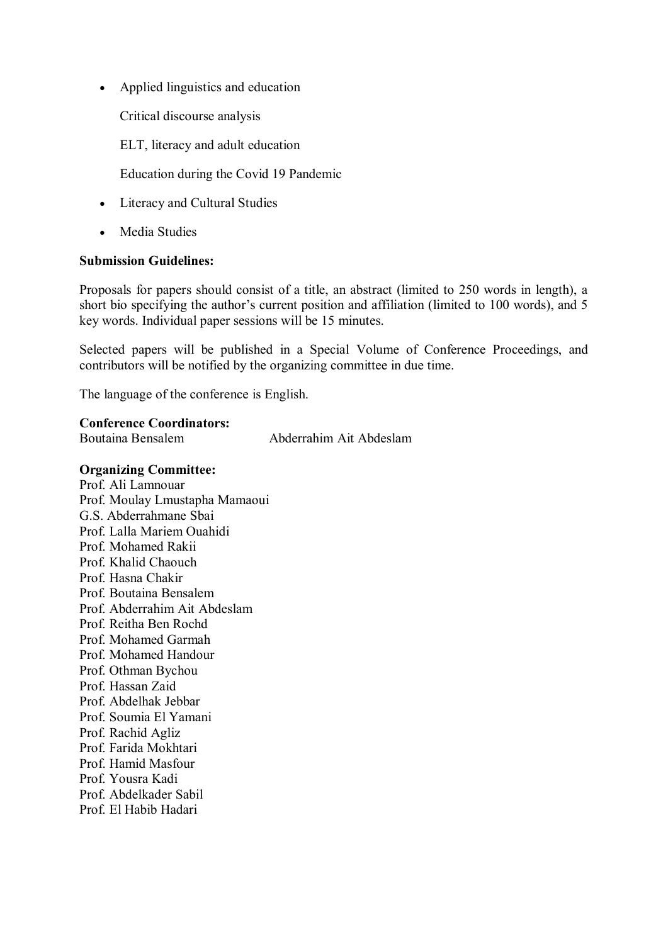• Applied linguistics and education

Critical discourse analysis

ELT, literacy and adult education

Education during the Covid 19 Pandemic

- Literacy and Cultural Studies
- Media Studies

### **Submission Guidelines:**

Proposals for papers should consist of a title, an abstract (limited to 250 words in length), a short bio specifying the author's current position and affiliation (limited to 100 words), and 5 key words. Individual paper sessions will be 15 minutes.

Selected papers will be published in a Special Volume of Conference Proceedings, and contributors will be notified by the organizing committee in due time.

The language of the conference is English.

### **Conference Coordinators:**

Boutaina Bensalem Abderrahim Ait Abdeslam

### **Organizing Committee:**

Prof. Ali Lamnouar Prof. Moulay Lmustapha Mamaoui G.S. Abderrahmane Sbai Prof. Lalla Mariem Ouahidi Prof. Mohamed Rakii Prof. Khalid Chaouch Prof. Hasna Chakir Prof. Boutaina Bensalem Prof. Abderrahim Ait Abdeslam Prof. Reitha Ben Rochd Prof. Mohamed Garmah Prof. Mohamed Handour Prof. Othman Bychou Prof. Hassan Zaid Prof. Abdelhak Jebbar Prof. Soumia El Yamani Prof. Rachid Agliz Prof. Farida Mokhtari Prof. Hamid Masfour Prof. Yousra Kadi Prof. Abdelkader Sabil Prof. El Habib Hadari